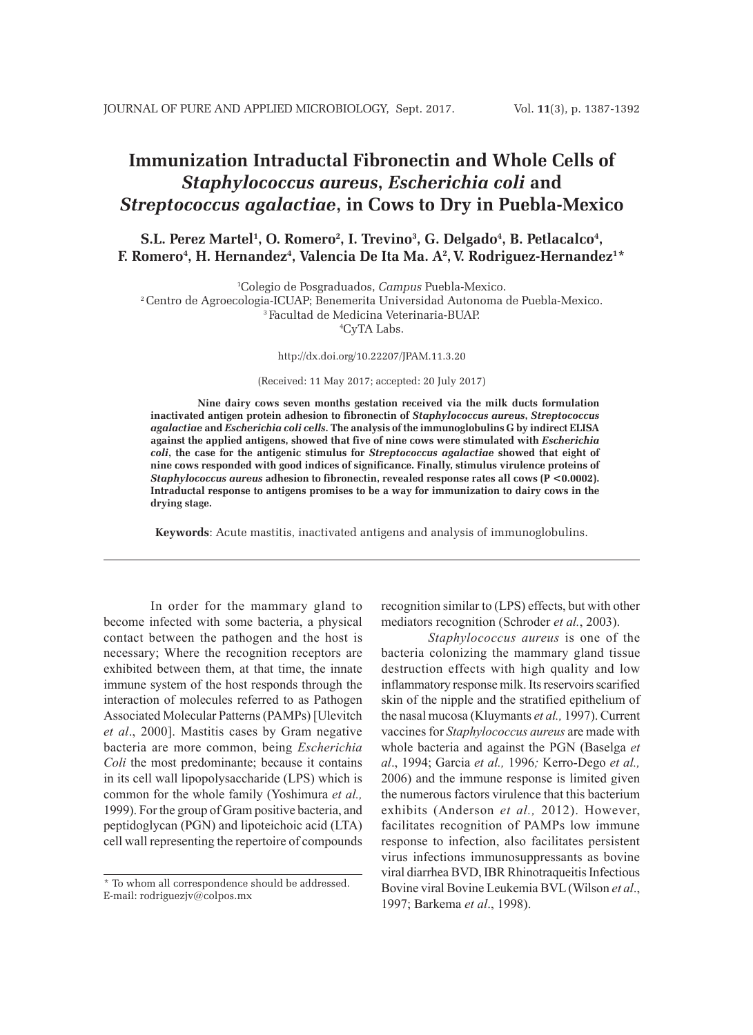# **Immunization Intraductal Fibronectin and Whole Cells of**  *Staphylococcus aureus***,** *Escherichia coli* **and**  *Streptococcus agalactiae***, in Cows to Dry in Puebla-Mexico**

 $\mathbf{S.L.~Perez~Martel^1,~O.~Romero^2,~I.~Tervino^3,~G.~Delgado^4,~B.~Petlacalco^4,~S.}$  $\bf{F.}\;・$  Romero $^4$ , H. Hernandez $^4$ , Valencia De Ita Ma. A $^2$ , V. Rodriguez-Hernandez $^{1*}$ 

1 Colegio de Posgraduados, *Campus* Puebla-Mexico.

2 Centro de Agroecologia-ICUAP; Benemerita Universidad Autonoma de Puebla-Mexico. 3 Facultad de Medicina Veterinaria-BUAP.

4 CyTA Labs.

http://dx.doi.org/10.22207/JPAM.11.3.20

(Received: 11 May 2017; accepted: 20 July 2017)

**Nine dairy cows seven months gestation received via the milk ducts formulation inactivated antigen protein adhesion to fibronectin of** *Staphylococcus aureus***,** *Streptococcus agalactiae* **and** *Escherichia coli cells***. The analysis of the immunoglobulins G by indirect ELISA against the applied antigens, showed that five of nine cows were stimulated with** *Escherichia coli***, the case for the antigenic stimulus for** *Streptococcus agalactiae* **showed that eight of nine cows responded with good indices of significance. Finally, stimulus virulence proteins of**  *Staphylococcus aureus* **adhesion to fibronectin, revealed response rates all cows (P <0.0002). Intraductal response to antigens promises to be a way for immunization to dairy cows in the drying stage.**

**Keywords**: Acute mastitis, inactivated antigens and analysis of immunoglobulins.

In order for the mammary gland to become infected with some bacteria, a physical contact between the pathogen and the host is necessary; Where the recognition receptors are exhibited between them, at that time, the innate immune system of the host responds through the interaction of molecules referred to as Pathogen Associated Molecular Patterns (PAMPs) [Ulevitch *et al*., 2000]. Mastitis cases by Gram negative bacteria are more common, being *Escherichia Coli* the most predominante; because it contains in its cell wall lipopolysaccharide (LPS) which is common for the whole family (Yoshimura *et al.,* 1999). For the group of Gram positive bacteria, and peptidoglycan (PGN) and lipoteichoic acid (LTA) cell wall representing the repertoire of compounds

recognition similar to (LPS) effects, but with other mediators recognition (Schroder *et al.*, 2003).

*Staphylococcus aureus* is one of the bacteria colonizing the mammary gland tissue destruction effects with high quality and low inflammatory response milk. Its reservoirs scarified skin of the nipple and the stratified epithelium of the nasal mucosa (Kluymants *et al.,* 1997). Current vaccines for *Staphylococcus aureus* are made with whole bacteria and against the PGN (Baselga *et al*., 1994; Garcia *et al.,* 1996*;* Kerro-Dego *et al.,* 2006) and the immune response is limited given the numerous factors virulence that this bacterium exhibits (Anderson *et al.,* 2012). However, facilitates recognition of PAMPs low immune response to infection, also facilitates persistent virus infections immunosuppressants as bovine viral diarrhea BVD, IBR Rhinotraqueitis Infectious Bovine viral Bovine Leukemia BVL (Wilson *et al*., 1997; Barkema *et al*., 1998).

<sup>\*</sup> To whom all correspondence should be addressed. E-mail: rodriguezjv@colpos.mx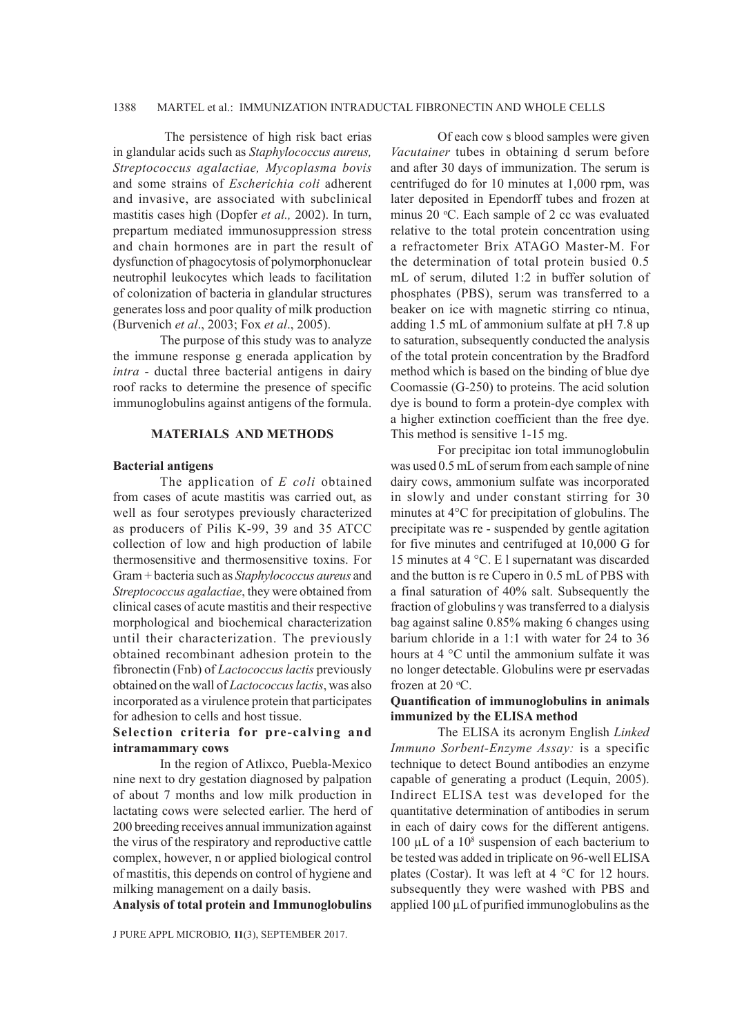## 1388 MARTEL et al.: IMMUNIZATION INTRADUCTAL FIBRONECTIN AND WHOLE CELLS

 The persistence of high risk bact erias in glandular acids such as *Staphylococcus aureus, Streptococcus agalactiae, Mycoplasma bovis* and some strains of *Escherichia coli* adherent and invasive, are associated with subclinical mastitis cases high (Dopfer *et al.,* 2002). In turn, prepartum mediated immunosuppression stress and chain hormones are in part the result of dysfunction of phagocytosis of polymorphonuclear neutrophil leukocytes which leads to facilitation of colonization of bacteria in glandular structures generates loss and poor quality of milk production (Burvenich *et al*., 2003; Fox *et al*., 2005).

The purpose of this study was to analyze the immune response g enerada application by *intra* - ductal three bacterial antigens in dairy roof racks to determine the presence of specific immunoglobulins against antigens of the formula.

## **MATERIALS AND METHODS**

## **Bacterial antigens**

The application of *E coli* obtained from cases of acute mastitis was carried out, as well as four serotypes previously characterized as producers of Pilis K-99, 39 and 35 ATCC collection of low and high production of labile thermosensitive and thermosensitive toxins. For Gram + bacteria such as *Staphylococcus aureus* and *Streptococcus agalactiae*, they were obtained from clinical cases of acute mastitis and their respective morphological and biochemical characterization until their characterization. The previously obtained recombinant adhesion protein to the fibronectin (Fnb) of *Lactococcus lactis* previously obtained on the wall of *Lactococcus lactis*, was also incorporated as a virulence protein that participates for adhesion to cells and host tissue.

# **Selection criteria for pre-calving and intramammary cows**

In the region of Atlixco, Puebla-Mexico nine next to dry gestation diagnosed by palpation of about 7 months and low milk production in lactating cows were selected earlier. The herd of 200 breeding receives annual immunization against the virus of the respiratory and reproductive cattle complex, however, n or applied biological control of mastitis, this depends on control of hygiene and milking management on a daily basis.

**Analysis of total protein and Immunoglobulins**

J PURE APPL MICROBIO*,* **11**(3), SEPTEMBER 2017.

Of each cow s blood samples were given *Vacutainer* tubes in obtaining d serum before and after 30 days of immunization. The serum is centrifuged do for 10 minutes at 1,000 rpm, was later deposited in Ependorff tubes and frozen at minus 20 °C. Each sample of 2 cc was evaluated relative to the total protein concentration using a refractometer Brix ATAGO Master-M. For the determination of total protein busied 0.5 mL of serum, diluted 1:2 in buffer solution of phosphates (PBS), serum was transferred to a beaker on ice with magnetic stirring co ntinua, adding 1.5 mL of ammonium sulfate at pH 7.8 up to saturation, subsequently conducted the analysis of the total protein concentration by the Bradford method which is based on the binding of blue dye Coomassie (G-250) to proteins. The acid solution dye is bound to form a protein-dye complex with a higher extinction coefficient than the free dye. This method is sensitive 1-15 mg.

For precipitac ion total immunoglobulin was used 0.5 mL of serum from each sample of nine dairy cows, ammonium sulfate was incorporated in slowly and under constant stirring for 30 minutes at 4°C for precipitation of globulins. The precipitate was re - suspended by gentle agitation for five minutes and centrifuged at 10,000 G for 15 minutes at 4 °C. E l supernatant was discarded and the button is re Cupero in 0.5 mL of PBS with a final saturation of 40% salt. Subsequently the fraction of globulins  $\gamma$  was transferred to a dialysis bag against saline 0.85% making 6 changes using barium chloride in a 1:1 with water for 24 to 36 hours at 4 °C until the ammonium sulfate it was no longer detectable. Globulins were pr eservadas frozen at 20 $°C$ .

# **Quantification of immunoglobulins in animals immunized by the ELISA method**

The ELISA its acronym English *Linked Immuno Sorbent-Enzyme Assay:* is a specific technique to detect Bound antibodies an enzyme capable of generating a product (Lequin, 2005). Indirect ELISA test was developed for the quantitative determination of antibodies in serum in each of dairy cows for the different antigens. 100  $\mu$ L of a 10<sup>8</sup> suspension of each bacterium to be tested was added in triplicate on 96-well ELISA plates (Costar). It was left at 4 °C for 12 hours. subsequently they were washed with PBS and applied 100 µL of purified immunoglobulins as the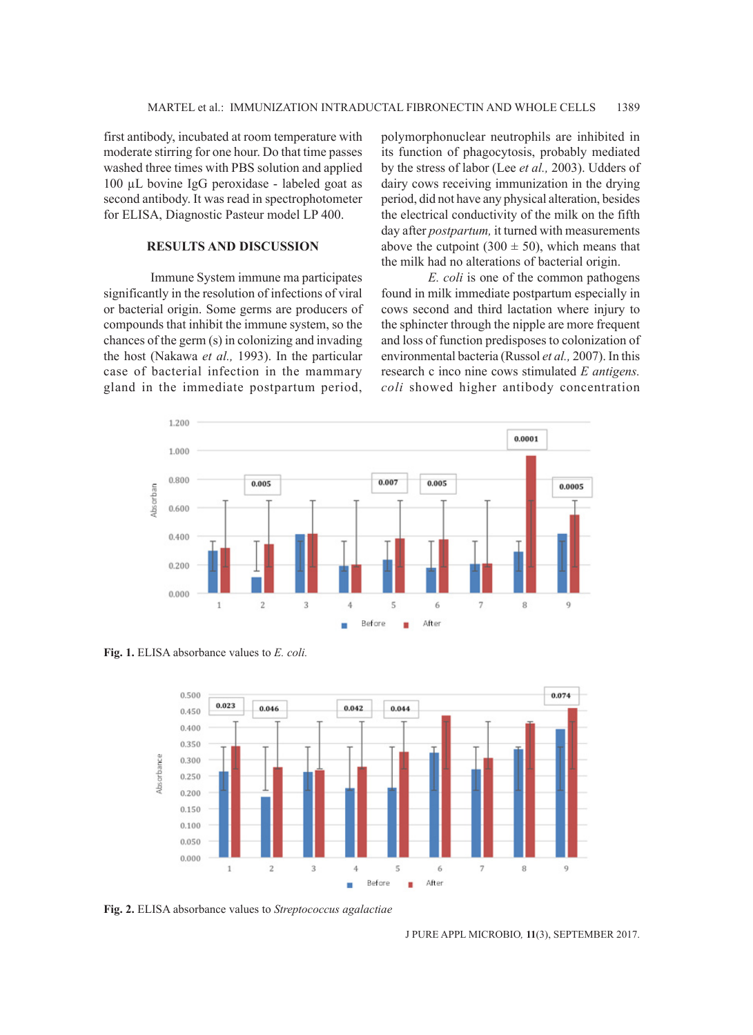first antibody, incubated at room temperature with moderate stirring for one hour. Do that time passes washed three times with PBS solution and applied 100 µL bovine IgG peroxidase - labeled goat as second antibody. It was read in spectrophotometer for ELISA, Diagnostic Pasteur model LP 400.

# **RESULTS AND DISCUSSION**

Immune System immune ma participates significantly in the resolution of infections of viral or bacterial origin. Some germs are producers of compounds that inhibit the immune system, so the chances of the germ (s) in colonizing and invading the host (Nakawa *et al.,* 1993). In the particular case of bacterial infection in the mammary gland in the immediate postpartum period, polymorphonuclear neutrophils are inhibited in its function of phagocytosis, probably mediated by the stress of labor (Lee *et al.,* 2003). Udders of dairy cows receiving immunization in the drying period, did not have any physical alteration, besides the electrical conductivity of the milk on the fifth day after *postpartum,* it turned with measurements above the cutpoint  $(300 \pm 50)$ , which means that the milk had no alterations of bacterial origin.

*E. coli* is one of the common pathogens found in milk immediate postpartum especially in cows second and third lactation where injury to the sphincter through the nipple are more frequent and loss of function predisposes to colonization of environmental bacteria (Russol *et al.,* 2007). In this research c inco nine cows stimulated *E antigens. coli* showed higher antibody concentration



**Fig. 1.** ELISA absorbance values to *E. coli.*



**Fig. 2.** ELISA absorbance values to *Streptococcus agalactiae*

J PURE APPL MICROBIO*,* **11**(3), SEPTEMBER 2017.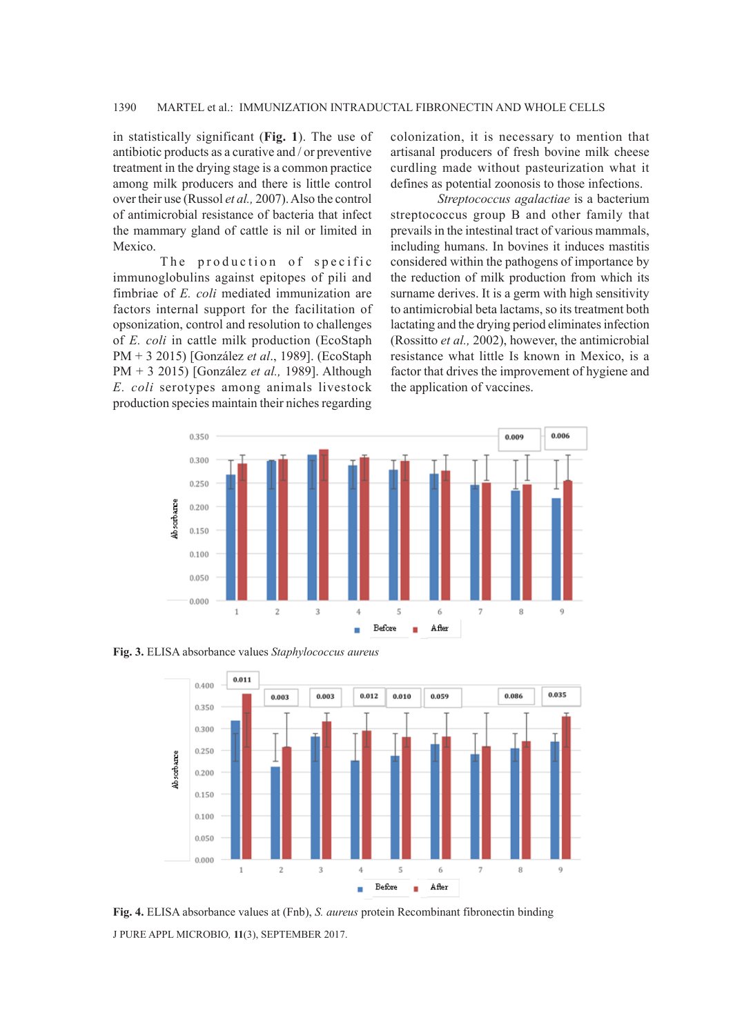in statistically significant (**Fig. 1**). The use of antibiotic products as a curative and / or preventive treatment in the drying stage is a common practice among milk producers and there is little control over their use (Russol *et al.,* 2007). Also the control of antimicrobial resistance of bacteria that infect the mammary gland of cattle is nil or limited in Mexico.

The production of specific immunoglobulins against epitopes of pili and fimbriae of *E. coli* mediated immunization are factors internal support for the facilitation of opsonization, control and resolution to challenges of *E. coli* in cattle milk production (EcoStaph PM + 3 2015) [González *et al*., 1989]. (EcoStaph PM + 3 2015) [González *et al.,* 1989]. Although *E. coli* serotypes among animals livestock production species maintain their niches regarding

colonization, it is necessary to mention that artisanal producers of fresh bovine milk cheese curdling made without pasteurization what it defines as potential zoonosis to those infections.

*Streptococcus agalactiae* is a bacterium streptococcus group B and other family that prevails in the intestinal tract of various mammals, including humans. In bovines it induces mastitis considered within the pathogens of importance by the reduction of milk production from which its surname derives. It is a germ with high sensitivity to antimicrobial beta lactams, so its treatment both lactating and the drying period eliminates infection (Rossitto *et al.,* 2002), however, the antimicrobial resistance what little Is known in Mexico, is a factor that drives the improvement of hygiene and the application of vaccines.



**Fig. 3.** ELISA absorbance values *Staphylococcus aureus*



J PURE APPL MICROBIO*,* **11**(3), SEPTEMBER 2017. **Fig. 4.** ELISA absorbance values at (Fnb), *S. aureus* protein Recombinant fibronectin binding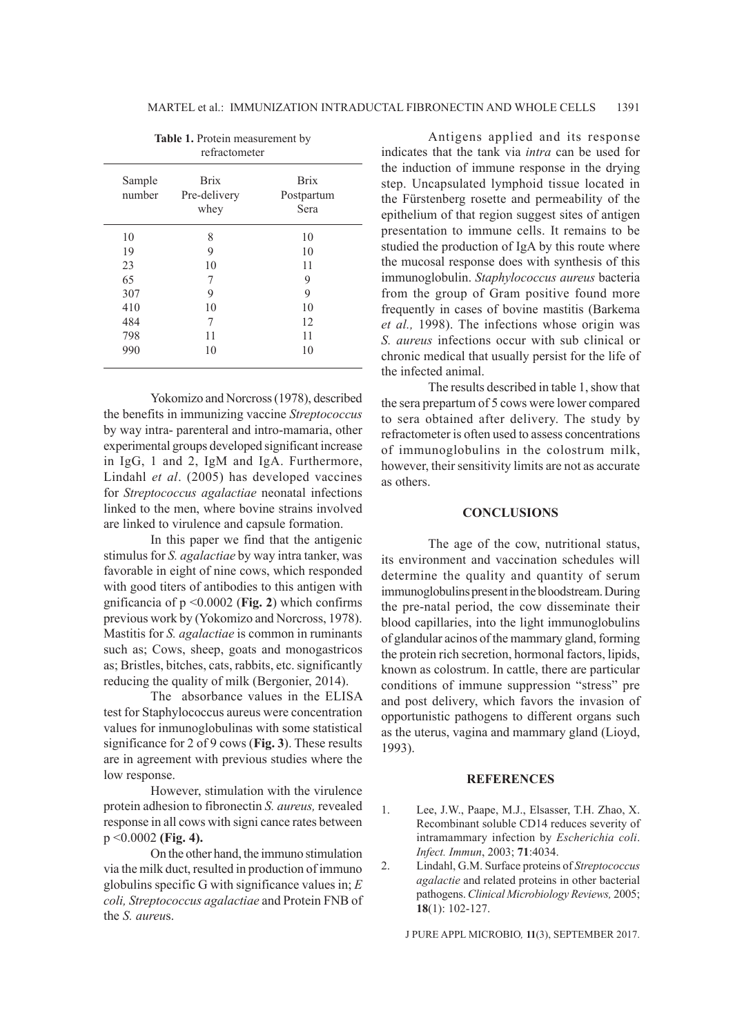| Sample<br>number | <b>Brix</b><br>Pre-delivery | <b>Brix</b><br>Postpartum |
|------------------|-----------------------------|---------------------------|
|                  | whey                        | Sera                      |
| 10               | 8                           | 10                        |
| 19               | 9                           | 10                        |
| 23               | 10                          | 11                        |
| 65               | 7                           | 9                         |
| 307              | 9                           | 9                         |
| 410              | 10                          | 10                        |
| 484              | 7                           | 12                        |
| 798              | 11                          | 11                        |
| 990              | 10                          | 10                        |

**Table 1.** Protein measurement by

Yokomizo and Norcross (1978), described the benefits in immunizing vaccine *Streptococcus* by way intra- parenteral and intro-mamaria, other experimental groups developed significant increase in IgG, 1 and 2, IgM and IgA. Furthermore, Lindahl *et al*. (2005) has developed vaccines for *Streptococcus agalactiae* neonatal infections linked to the men, where bovine strains involved are linked to virulence and capsule formation.

In this paper we find that the antigenic stimulus for *S. agalactiae* by way intra tanker, was favorable in eight of nine cows, which responded with good titers of antibodies to this antigen with gnificancia of p <0.0002 (**Fig. 2**) which confirms previous work by (Yokomizo and Norcross, 1978). Mastitis for *S. agalactiae* is common in ruminants such as; Cows, sheep, goats and monogastricos as; Bristles, bitches, cats, rabbits, etc. significantly reducing the quality of milk (Bergonier, 2014).

The absorbance values in the ELISA test for Staphylococcus aureus were concentration values for inmunoglobulinas with some statistical significance for 2 of 9 cows (**Fig. 3**). These results are in agreement with previous studies where the low response.

However, stimulation with the virulence protein adhesion to fibronectin *S. aureus,* revealed response in all cows with signi cance rates between p <0.0002 **(Fig. 4).**

On the other hand, the immuno stimulation via the milk duct, resulted in production of immuno globulins specific G with significance values in; *E coli, Streptococcus agalactiae* and Protein FNB of the *S. aureu*s.

Antigens applied and its response indicates that the tank via *intra* can be used for the induction of immune response in the drying step. Uncapsulated lymphoid tissue located in the Fürstenberg rosette and permeability of the epithelium of that region suggest sites of antigen presentation to immune cells. It remains to be studied the production of IgA by this route where the mucosal response does with synthesis of this immunoglobulin. *Staphylococcus aureus* bacteria from the group of Gram positive found more frequently in cases of bovine mastitis (Barkema *et al.,* 1998). The infections whose origin was *S. aureus* infections occur with sub clinical or chronic medical that usually persist for the life of the infected animal.

The results described in table 1, show that the sera prepartum of 5 cows were lower compared to sera obtained after delivery. The study by refractometer is often used to assess concentrations of immunoglobulins in the colostrum milk, however, their sensitivity limits are not as accurate as others.

### **CONCLUSIONS**

The age of the cow, nutritional status, its environment and vaccination schedules will determine the quality and quantity of serum immunoglobulins present in the bloodstream. During the pre-natal period, the cow disseminate their blood capillaries, into the light immunoglobulins of glandular acinos of the mammary gland, forming the protein rich secretion, hormonal factors, lipids, known as colostrum. In cattle, there are particular conditions of immune suppression "stress" pre and post delivery, which favors the invasion of opportunistic pathogens to different organs such as the uterus, vagina and mammary gland (Lioyd, 1993).

#### **REFERENCES**

- 1. Lee, J.W., Paape, M.J., Elsasser, T.H. Zhao, X. Recombinant soluble CD14 reduces severity of intramammary infection by *Escherichia coli*. *Infect. Immun*, 2003; **71**:4034.
- 2. Lindahl, G.M. Surface proteins of *Streptococcus agalactie* and related proteins in other bacterial pathogens. *Clinical Microbiology Reviews,* 2005; **18**(1): 102-127.

J PURE APPL MICROBIO*,* **11**(3), SEPTEMBER 2017.